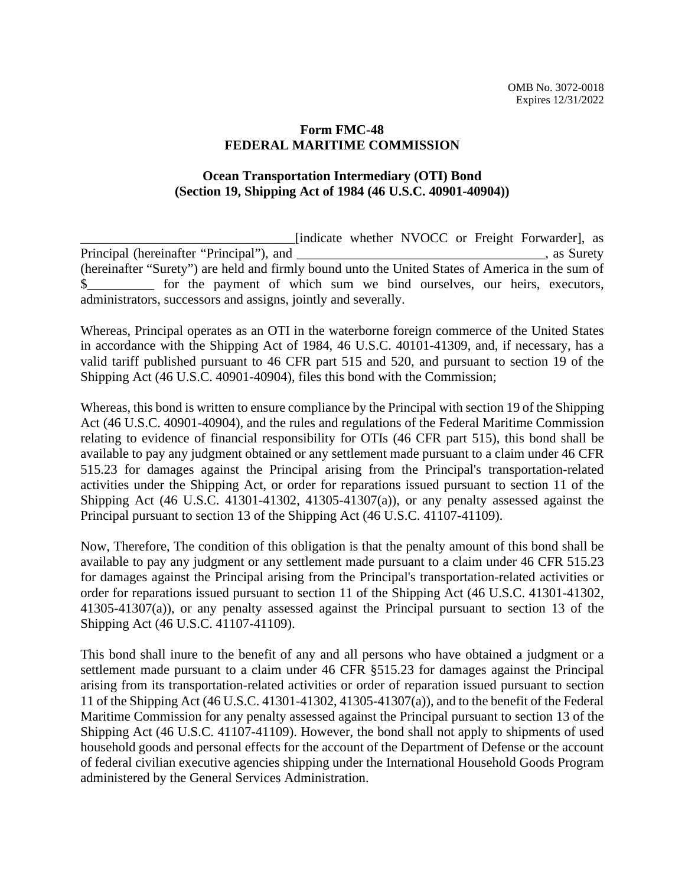## **Form FMC-48 FEDERAL MARITIME COMMISSION**

## **Ocean Transportation Intermediary (OTI) Bond (Section 19, Shipping Act of 1984 (46 U.S.C. 40901-40904))**

\_\_\_\_\_\_\_\_\_\_\_\_\_\_\_\_\_\_\_\_\_\_\_\_\_\_\_\_\_\_\_\_[indicate whether NVOCC or Freight Forwarder], as Principal (hereinafter "Principal"), and  $\Box$ , as Surety (hereinafter "Surety") are held and firmly bound unto the United States of America in the sum of \$ for the payment of which sum we bind ourselves, our heirs, executors, administrators, successors and assigns, jointly and severally.

Whereas, Principal operates as an OTI in the waterborne foreign commerce of the United States in accordance with the Shipping Act of 1984, 46 U.S.C. 40101-41309, and, if necessary, has a valid tariff published pursuant to 46 CFR part 515 and 520, and pursuant to section 19 of the Shipping Act (46 U.S.C. 40901-40904), files this bond with the Commission;

Whereas, this bond is written to ensure compliance by the Principal with section 19 of the Shipping Act (46 U.S.C. 40901-40904), and the rules and regulations of the Federal Maritime Commission relating to evidence of financial responsibility for OTIs (46 CFR part 515), this bond shall be available to pay any judgment obtained or any settlement made pursuant to a claim under 46 CFR 515.23 for damages against the Principal arising from the Principal's transportation-related activities under the Shipping Act, or order for reparations issued pursuant to section 11 of the Shipping Act (46 U.S.C. 41301-41302, 41305-41307(a)), or any penalty assessed against the Principal pursuant to section 13 of the Shipping Act (46 U.S.C. 41107-41109).

Now, Therefore, The condition of this obligation is that the penalty amount of this bond shall be available to pay any judgment or any settlement made pursuant to a claim under 46 CFR 515.23 for damages against the Principal arising from the Principal's transportation-related activities or order for reparations issued pursuant to section 11 of the Shipping Act (46 U.S.C. 41301-41302, 41305-41307(a)), or any penalty assessed against the Principal pursuant to section 13 of the Shipping Act (46 U.S.C. 41107-41109).

This bond shall inure to the benefit of any and all persons who have obtained a judgment or a settlement made pursuant to a claim under 46 CFR §515.23 for damages against the Principal arising from its transportation-related activities or order of reparation issued pursuant to section 11 of the Shipping Act (46 U.S.C. 41301-41302, 41305-41307(a)), and to the benefit of the Federal Maritime Commission for any penalty assessed against the Principal pursuant to section 13 of the Shipping Act (46 U.S.C. 41107-41109). However, the bond shall not apply to shipments of used household goods and personal effects for the account of the Department of Defense or the account of federal civilian executive agencies shipping under the International Household Goods Program administered by the General Services Administration.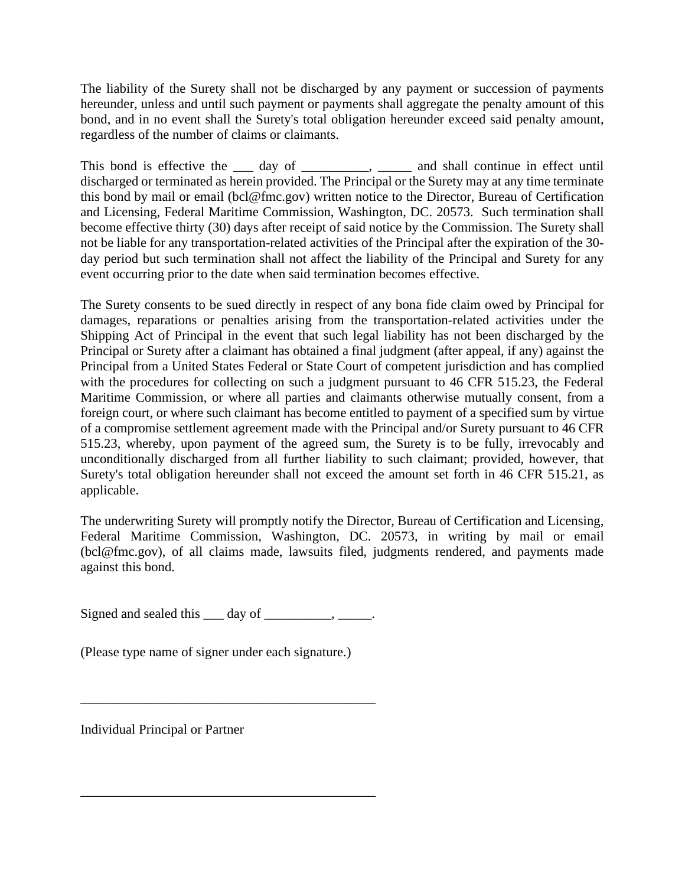The liability of the Surety shall not be discharged by any payment or succession of payments hereunder, unless and until such payment or payments shall aggregate the penalty amount of this bond, and in no event shall the Surety's total obligation hereunder exceed said penalty amount, regardless of the number of claims or claimants.

This bond is effective the <u>sectes</u> day of <u>sectes</u> and shall continue in effect until discharged or terminated as herein provided. The Principal or the Surety may at any time terminate this bond by mail or email (bcl@fmc.gov) written notice to the Director, Bureau of Certification and Licensing, Federal Maritime Commission, Washington, DC. 20573. Such termination shall become effective thirty (30) days after receipt of said notice by the Commission. The Surety shall not be liable for any transportation-related activities of the Principal after the expiration of the 30 day period but such termination shall not affect the liability of the Principal and Surety for any event occurring prior to the date when said termination becomes effective.

The Surety consents to be sued directly in respect of any bona fide claim owed by Principal for damages, reparations or penalties arising from the transportation-related activities under the Shipping Act of Principal in the event that such legal liability has not been discharged by the Principal or Surety after a claimant has obtained a final judgment (after appeal, if any) against the Principal from a United States Federal or State Court of competent jurisdiction and has complied with the procedures for collecting on such a judgment pursuant to 46 CFR 515.23, the Federal Maritime Commission, or where all parties and claimants otherwise mutually consent, from a foreign court, or where such claimant has become entitled to payment of a specified sum by virtue of a compromise settlement agreement made with the Principal and/or Surety pursuant to 46 CFR 515.23, whereby, upon payment of the agreed sum, the Surety is to be fully, irrevocably and unconditionally discharged from all further liability to such claimant; provided, however, that Surety's total obligation hereunder shall not exceed the amount set forth in 46 CFR 515.21, as applicable.

The underwriting Surety will promptly notify the Director, Bureau of Certification and Licensing, Federal Maritime Commission, Washington, DC. 20573, in writing by mail or email (bcl@fmc.gov), of all claims made, lawsuits filed, judgments rendered, and payments made against this bond.

Signed and sealed this  $\_\_$  day of  $\_\_$ 

\_\_\_\_\_\_\_\_\_\_\_\_\_\_\_\_\_\_\_\_\_\_\_\_\_\_\_\_\_\_\_\_\_\_\_\_\_\_\_\_\_\_\_\_

\_\_\_\_\_\_\_\_\_\_\_\_\_\_\_\_\_\_\_\_\_\_\_\_\_\_\_\_\_\_\_\_\_\_\_\_\_\_\_\_\_\_\_\_

(Please type name of signer under each signature.)

Individual Principal or Partner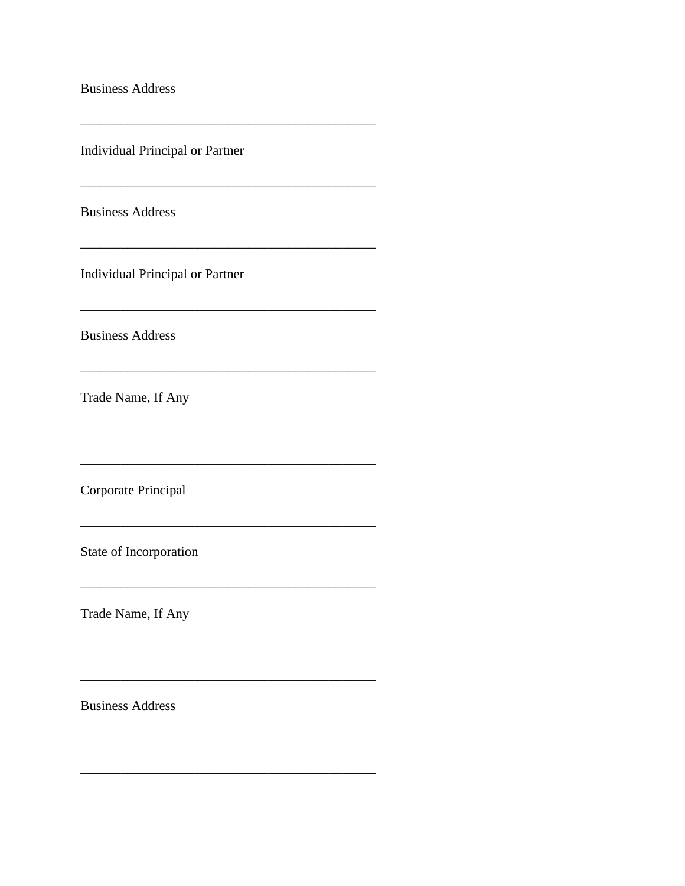**Business Address** 

**Individual Principal or Partner** 

<u> 1989 - Johann Barnett, fransk politik (d. 1989)</u>

 $\overline{\phantom{a}}$ 

**Business Address** 

Individual Principal or Partner

**Business Address** 

Trade Name, If Any

Corporate Principal

State of Incorporation

Trade Name, If Any

**Business Address**